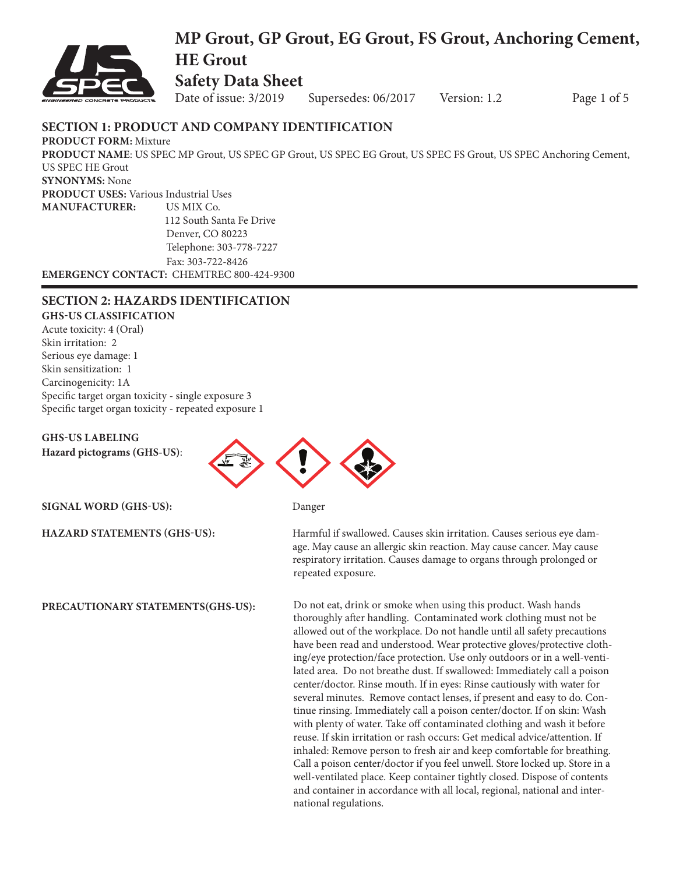

## **MP Grout, GP Grout, EG Grout, FS Grout, Anchoring Cement, HE Grout Safety Data Sheet**

Date of issue:  $3/2019$  Supersedes:  $06/2017$  Version: 1.2 Page 1 of 5

## **SECTION 1: PRODUCT AND COMPANY IDENTIFICATION**

**PRODUCT FORM:** Mixture **PRODUCT NAME**: US SPEC MP Grout, US SPEC GP Grout, US SPEC EG Grout, US SPEC FS Grout, US SPEC Anchoring Cement, US SPEC HE Grout **SYNONYMS:** None **PRODUCT USES:** Various Industrial Uses **MANUFACTURER:** US MIX Co. 112 South Santa Fe Drive Denver, CO 80223 Telephone: 303-778-7227 Fax: 303-722-8426

**EMERGENCY CONTACT:** CHEMTREC 800-424-9300

## **SECTION 2: HAZARDS IDENTIFICATION**

**GHS-US CLASSIFICATION** Acute toxicity: 4 (Oral) Skin irritation: 2 Serious eye damage: 1 Skin sensitization: 1 Carcinogenicity: 1A

Specific target organ toxicity - single exposure 3 Specific target organ toxicity - repeated exposure 1

**GHS-US LABELING Hazard pictograms (GHS-US)**:



**SIGNAL WORD (GHS-US):** Danger

**PRECAUTIONARY STATEMENTS(GHS-US):**

**HAZARD STATEMENTS (GHS-US):** Harmful if swallowed. Causes skin irritation. Causes serious eye dam age. May cause an allergic skin reaction. May cause cancer. May cause respiratory irritation. Causes damage to organs through prolonged or repeated exposure.

> Do not eat, drink or smoke when using this product. Wash hands thoroughly after handling. Contaminated work clothing must not be allowed out of the workplace. Do not handle until all safety precautions have been read and understood. Wear protective gloves/protective clothing/eye protection/face protection. Use only outdoors or in a well-ventilated area. Do not breathe dust. If swallowed: Immediately call a poison center/doctor. Rinse mouth. If in eyes: Rinse cautiously with water for several minutes. Remove contact lenses, if present and easy to do. Continue rinsing. Immediately call a poison center/doctor. If on skin: Wash with plenty of water. Take off contaminated clothing and wash it before reuse. If skin irritation or rash occurs: Get medical advice/attention. If inhaled: Remove person to fresh air and keep comfortable for breathing. Call a poison center/doctor if you feel unwell. Store locked up. Store in a well-ventilated place. Keep container tightly closed. Dispose of contents and container in accordance with all local, regional, national and international regulations.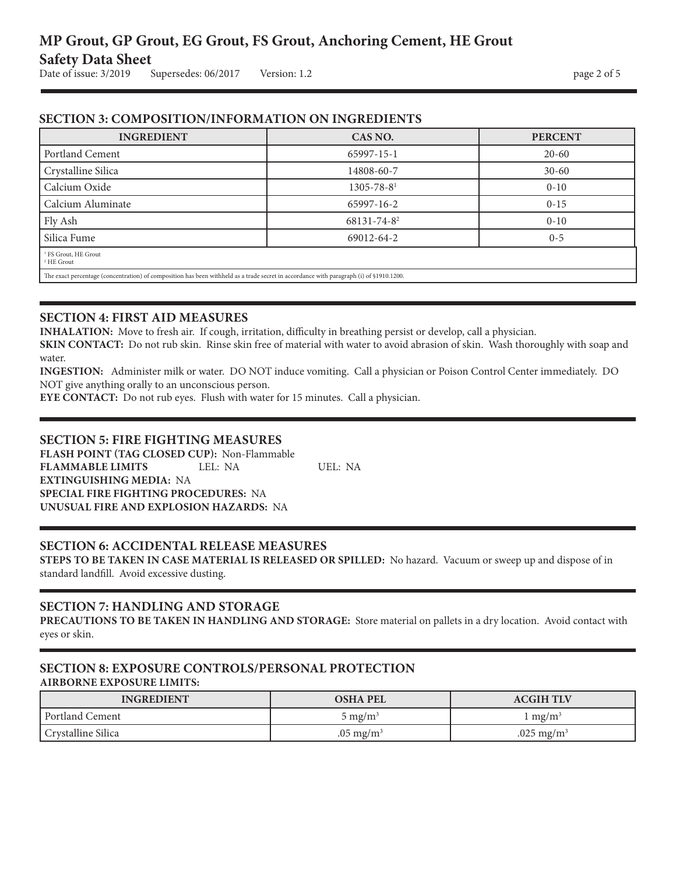## **SECTION 3: COMPOSITION/INFORMATION ON INGREDIENTS**

| <b>INGREDIENT</b>                                                                                                                       | CAS NO.                 | <b>PERCENT</b> |
|-----------------------------------------------------------------------------------------------------------------------------------------|-------------------------|----------------|
| Portland Cement                                                                                                                         | 65997-15-1              | $20 - 60$      |
| Crystalline Silica                                                                                                                      | 14808-60-7              | $30 - 60$      |
| Calcium Oxide                                                                                                                           | $1305 - 78 - 81$        | $0 - 10$       |
| Calcium Aluminate                                                                                                                       | 65997-16-2              | $0 - 15$       |
| Fly Ash                                                                                                                                 | 68131-74-8 <sup>2</sup> | $0 - 10$       |
| Silica Fume                                                                                                                             | 69012-64-2              | $0 - 5$        |
| <sup>1</sup> FS Grout, HE Grout<br><sup>2</sup> HE Grout                                                                                |                         |                |
| The exact percentage (concentration) of composition has been withheld as a trade secret in accordance with paragraph (i) of §1910.1200. |                         |                |

#### **SECTION 4: FIRST AID MEASURES**

**INHALATION:** Move to fresh air. If cough, irritation, difficulty in breathing persist or develop, call a physician.

**SKIN CONTACT:** Do not rub skin. Rinse skin free of material with water to avoid abrasion of skin. Wash thoroughly with soap and water.

**INGESTION:** Administer milk or water. DO NOT induce vomiting. Call a physician or Poison Control Center immediately. DO NOT give anything orally to an unconscious person.

**EYE CONTACT:** Do not rub eyes. Flush with water for 15 minutes. Call a physician.

### **SECTION 5: FIRE FIGHTING MEASURES**

**FLASH POINT (TAG CLOSED CUP):** Non-Flammable **FLAMMABLE LIMITS** LEL: NA UEL: NA **EXTINGUISHING MEDIA:** NA **SPECIAL FIRE FIGHTING PROCEDURES:** NA **UNUSUAL FIRE AND EXPLOSION HAZARDS:** NA

## **SECTION 6: ACCIDENTAL RELEASE MEASURES**

**STEPS TO BE TAKEN IN CASE MATERIAL IS RELEASED OR SPILLED:** No hazard. Vacuum or sweep up and dispose of in standard landfill. Avoid excessive dusting.

## **SECTION 7: HANDLING AND STORAGE**

**PRECAUTIONS TO BE TAKEN IN HANDLING AND STORAGE:** Store material on pallets in a dry location. Avoid contact with eyes or skin.

#### **SECTION 8: EXPOSURE CONTROLS/PERSONAL PROTECTION AIRBORNE EXPOSURE LIMITS:**

| <b>INGREDIENT</b>  | <b>OSHA PEL</b>       | <b>ACGIH TLV</b>      |
|--------------------|-----------------------|-----------------------|
| Portland Cement    | 5 mg/m $^3$           | $mg/m^3$              |
| Crystalline Silica | $0.05 \text{ mg/m}^3$ | $.025 \text{ mg/m}^3$ |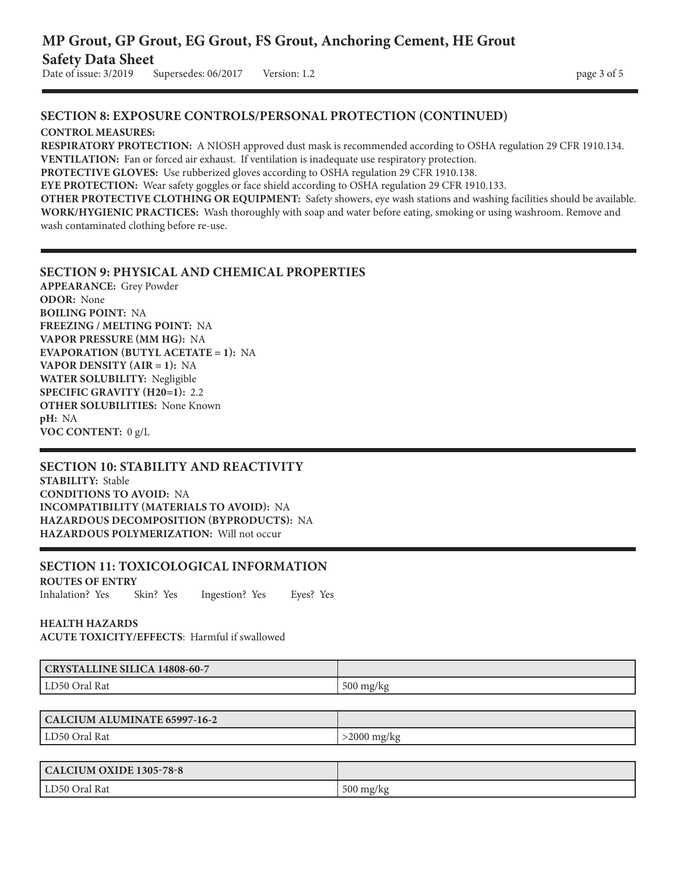## **SECTION 8: EXPOSURE CONTROLS/PERSONAL PROTECTION (CONTINUED)**

#### **CONTROL MEASURES:**

**RESPIRATORY PROTECTION:** A NIOSH approved dust mask is recommended according to OSHA regulation 29 CFR 1910.134. **VENTILATION:** Fan or forced air exhaust. If ventilation is inadequate use respiratory protection.

**PROTECTIVE GLOVES:** Use rubberized gloves according to OSHA regulation 29 CFR 1910.138.

**EYE PROTECTION:** Wear safety goggles or face shield according to OSHA regulation 29 CFR 1910.133.

**OTHER PROTECTIVE CLOTHING OR EQUIPMENT:** Safety showers, eye wash stations and washing facilities should be available. **WORK/HYGIENIC PRACTICES:** Wash thoroughly with soap and water before eating, smoking or using washroom. Remove and wash contaminated clothing before re-use.

#### **SECTION 9: PHYSICAL AND CHEMICAL PROPERTIES**

**APPEARANCE:** Grey Powder **ODOR:** None **BOILING POINT:** NA **FREEZING / MELTING POINT:** NA **VAPOR PRESSURE (MM HG):** NA **EVAPORATION (BUTYL ACETATE = 1):** NA **VAPOR DENSITY (AIR = 1):** NA **WATER SOLUBILITY:** Negligible **SPECIFIC GRAVITY (H20=1):** 2.2 **OTHER SOLUBILITIES:** None Known **pH:** NA **VOC CONTENT:** 0 g/L

#### **SECTION 10: STABILITY AND REACTIVITY**

**STABILITY:** Stable **CONDITIONS TO AVOID:** NA **INCOMPATIBILITY (MATERIALS TO AVOID):** NA **HAZARDOUS DECOMPOSITION (BYPRODUCTS):** NA **HAZARDOUS POLYMERIZATION:** Will not occur

## **SECTION 11: TOXICOLOGICAL INFORMATION**

**ROUTES OF ENTRY** Inhalation? Yes Skin? Yes Ingestion? Yes Eyes? Yes

# **HEALTH HAZARDS**

**ACUTE TOXICITY/EFFECTS**: Harmful if swallowed

| <b>CRYSTALLINE SILICA 14808-60-7</b> |                     |
|--------------------------------------|---------------------|
| Rat<br>LD50 Oral                     | $500 \text{ mg/kg}$ |

| CALCIUM ALUMINATE 65997-16-2 |            |
|------------------------------|------------|
| LD50 Oral Rat                | 2000 mg/kg |

| CALCIUM OXIDE 1305-78-8 |                     |
|-------------------------|---------------------|
| l LD50 Oral Rat         | $500 \text{ mg/kg}$ |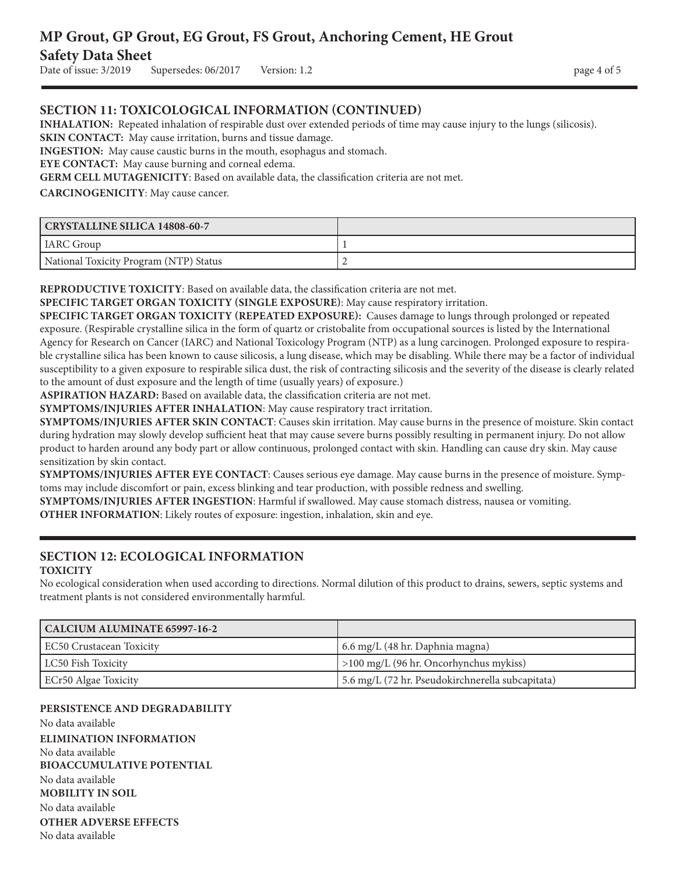## **MP Grout, GP Grout, EG Grout, FS Grout, Anchoring Cement, HE Grout Safety Data Sheet** Date of issue:  $3/2019$  Supersedes:  $06/2017$  Version: 1.2 page 4 of 5

## **SECTION 11: TOXICOLOGICAL INFORMATION (CONTINUED)**

**INHALATION:** Repeated inhalation of respirable dust over extended periods of time may cause injury to the lungs (silicosis).

**SKIN CONTACT:** May cause irritation, burns and tissue damage.

**INGESTION:** May cause caustic burns in the mouth, esophagus and stomach.

**EYE CONTACT:** May cause burning and corneal edema.

**GERM CELL MUTAGENICITY**: Based on available data, the classification criteria are not met.

**CARCINOGENICITY**: May cause cancer.

| CRYSTALLINE SILICA 14808-60-7          |  |
|----------------------------------------|--|
| IARC Group                             |  |
| National Toxicity Program (NTP) Status |  |

**REPRODUCTIVE TOXICITY**: Based on available data, the classification criteria are not met.

**SPECIFIC TARGET ORGAN TOXICITY (SINGLE EXPOSURE)**: May cause respiratory irritation.

**SPECIFIC TARGET ORGAN TOXICITY (REPEATED EXPOSURE):** Causes damage to lungs through prolonged or repeated exposure. (Respirable crystalline silica in the form of quartz or cristobalite from occupational sources is listed by the International Agency for Research on Cancer (IARC) and National Toxicology Program (NTP) as a lung carcinogen. Prolonged exposure to respirable crystalline silica has been known to cause silicosis, a lung disease, which may be disabling. While there may be a factor of individual susceptibility to a given exposure to respirable silica dust, the risk of contracting silicosis and the severity of the disease is clearly related to the amount of dust exposure and the length of time (usually years) of exposure.)

**ASPIRATION HAZARD:** Based on available data, the classification criteria are not met.

**SYMPTOMS/INJURIES AFTER INHALATION**: May cause respiratory tract irritation.

**SYMPTOMS/INJURIES AFTER SKIN CONTACT**: Causes skin irritation. May cause burns in the presence of moisture. Skin contact during hydration may slowly develop sufficient heat that may cause severe burns possibly resulting in permanent injury. Do not allow product to harden around any body part or allow continuous, prolonged contact with skin. Handling can cause dry skin. May cause sensitization by skin contact.

**SYMPTOMS/INJURIES AFTER EYE CONTACT**: Causes serious eye damage. May cause burns in the presence of moisture. Symptoms may include discomfort or pain, excess blinking and tear production, with possible redness and swelling.

**SYMPTOMS/INJURIES AFTER INGESTION**: Harmful if swallowed. May cause stomach distress, nausea or vomiting.

**OTHER INFORMATION**: Likely routes of exposure: ingestion, inhalation, skin and eye.

#### **SECTION 12: ECOLOGICAL INFORMATION TOXICITY**

No ecological consideration when used according to directions. Normal dilution of this product to drains, sewers, septic systems and treatment plants is not considered environmentally harmful.

| CALCIUM ALUMINATE 65997-16-2 |                                                  |
|------------------------------|--------------------------------------------------|
| EC50 Crustacean Toxicity     | [ 6.6 mg/L (48 hr. Daphnia magna)                |
| LC50 Fish Toxicity           | $\vert$ >100 mg/L (96 hr. Oncorhynchus mykiss)   |
| ECr50 Algae Toxicity         | 5.6 mg/L (72 hr. Pseudokirchnerella subcapitata) |

#### **PERSISTENCE AND DEGRADABILITY**

No data available **ELIMINATION INFORMATION** No data available **BIOACCUMULATIVE POTENTIAL** No data available **MOBILITY IN SOIL** No data available **OTHER ADVERSE EFFECTS** No data available